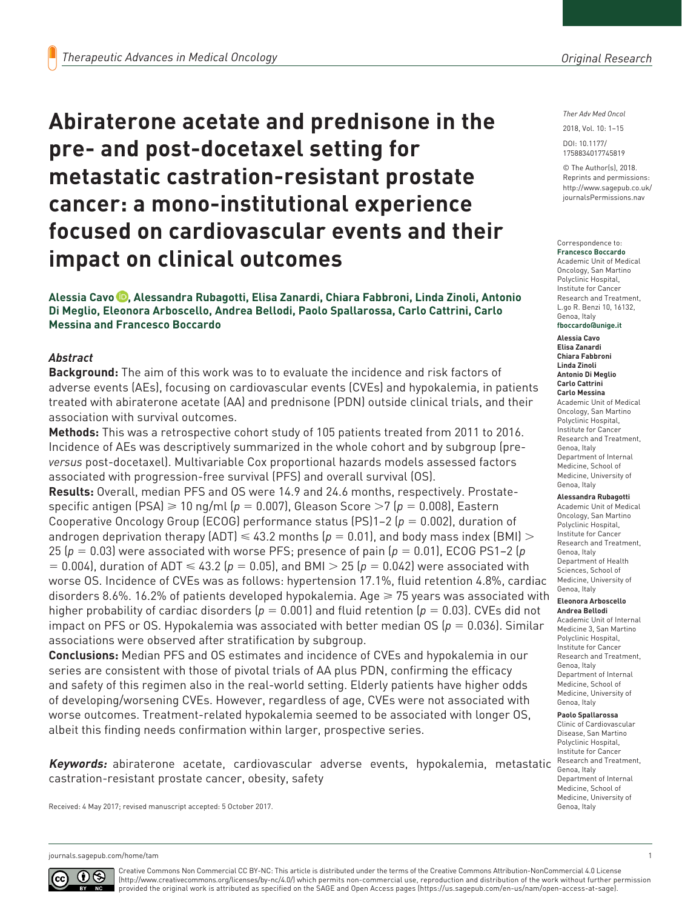# **Abiraterone acetate and prednisone in the pre- and post-docetaxel setting for metastatic castration-resistant prostate cancer: a mono-institutional experience focused on cardiovascular events and their impact on clinical outcomes**

**Alessia Cavo , Alessandra Rubagotti, Elisa Zanardi, Chiara Fabbroni, Linda Zinoli, Antonio Di Meglio, Eleonora Arboscello, Andrea Bellodi, Paolo Spallarossa, Carlo Cattrini, Carlo Messina and Francesco Boccardo**

## *Abstract*

**Background:** The aim of this work was to to evaluate the incidence and risk factors of adverse events (AEs), focusing on cardiovascular events (CVEs) and hypokalemia, in patients treated with abiraterone acetate (AA) and prednisone (PDN) outside clinical trials, and their association with survival outcomes.

**Methods:** This was a retrospective cohort study of 105 patients treated from 2011 to 2016. Incidence of AEs was descriptively summarized in the whole cohort and by subgroup (pre*versus* post-docetaxel). Multivariable Cox proportional hazards models assessed factors associated with progression-free survival (PFS) and overall survival (OS).

**Results:** Overall, median PFS and OS were 14.9 and 24.6 months, respectively. Prostatespecific antigen (PSA) ≥ 10 ng/ml ( $p = 0.007$ ), Gleason Score >7 ( $p = 0.008$ ), Eastern Cooperative Oncology Group (ECOG) performance status (PS)1–2 (*p* = 0.002), duration of androgen deprivation therapy (ADT)  $\leq 43.2$  months ( $p = 0.01$ ), and body mass index (BMI)  $>$ 25 (*p* = 0.03) were associated with worse PFS; presence of pain (*p* = 0.01), ECOG PS1–2 (*p*  $= 0.004$ ), duration of ADT  $\leq 43.2$  ( $p = 0.05$ ), and BMI  $> 25$  ( $p = 0.042$ ) were associated with worse OS. Incidence of CVEs was as follows: hypertension 17.1%, fluid retention 4.8%, cardiac disorders 8.6%. 16.2% of patients developed hypokalemia. Age  $\geq 75$  years was associated with higher probability of cardiac disorders (*p* = 0.001) and fluid retention (*p* = 0.03). CVEs did not impact on PFS or OS. Hypokalemia was associated with better median OS ( $p = 0.036$ ). Similar associations were observed after stratification by subgroup.

**Conclusions:** Median PFS and OS estimates and incidence of CVEs and hypokalemia in our series are consistent with those of pivotal trials of AA plus PDN, confirming the efficacy and safety of this regimen also in the real-world setting. Elderly patients have higher odds of developing/worsening CVEs. However, regardless of age, CVEs were not associated with worse outcomes. Treatment-related hypokalemia seemed to be associated with longer OS, albeit this finding needs confirmation within larger, prospective series.

**Keywords:** abiraterone acetate, cardiovascular adverse events, hypokalemia, metastatic <sup>Research a</sup> castration-resistant prostate cancer, obesity, safety

Received: 4 May 2017; revised manuscript accepted: 5 October 2017.

#### *Ther Adv Med Oncol*

DOI: 10.1177/ 2018, Vol. 10: 1–15

© The Author(s), 2018. Reprints and permissions: [http://www.sagepub.co.uk/](https://uk.sagepub.com/en-gb/journals-permissions) [journalsPermissions.nav](https://uk.sagepub.com/en-gb/journals-permissions)

https://doi.org/10.1177/1758834017745819 1758834017745819

#### Correspondence to: **Francesco Boccardo**

Academic Unit of Medical Oncology, San Martino Polyclinic Hospital, Institute for Cancer Research and Treatment, L.go R. Benzi 10, 16132, Genoa, Italy **[fboccardo@unige.it](mailto:fboccardo@unige.it)**

**Alessia Cavo Elisa Zanardi Chiara Fabbroni Linda Zinoli Antonio Di Meglio Carlo Cattrini Carlo Messina** Academic Unit of Medical Oncology, San Martino Polyclinic Hospital, Institute for Cance Research and Treatment, Genoa, Italy Department of Internal Medicine, School of Medicine, University of Genoa, Italy

**Alessandra Rubagotti**

Academic Unit of Medical Oncology, San Martino Polyclinic Hospital, Institute for Cancer Research and Treatment, Genoa, Italy Department of Health Sciences, School of Medicine, University of Genoa, Italy

#### **Eleonora Arboscello**

**Andrea Bellodi** Academic Unit of Internal Medicine 3, San Martino Polyclinic Hospital, Institute for Cancer Research and Treatment, Genoa, Italy Department of Internal Medicine, School of Medicine, University of Genoa, Italy

#### **Paolo Spallarossa**

Clinic of Cardiovascular Disease, San Martino Polyclinic Hospital, Institute for Cancer Research and Treatment, Department of Internal Medicine, School of Medicine, University of Genoa, Italy

[journals.sagepub.com/home/tam](https://journals.sagepub.com/home/tam) 1



Creative Commons Non Commercial CC BY-NC: This article is distributed under the terms of the Creative Commons Attribution-NonCommercial 4.0 License (http://www.creativecommons.org/licenses/by-nc/4.0/) which permits non-commercial use, reproduction and distribution of the work without further permission provided the original work is attributed as specified on the SAGE and Open Access pages (https://us.sagepub.com/en-us/nam/open-access-at-sage).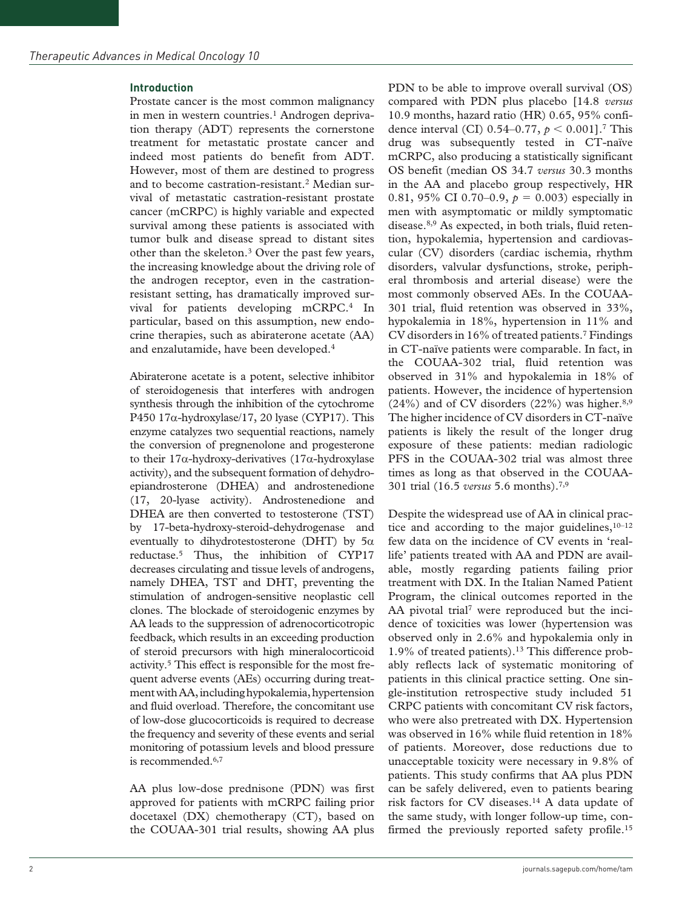#### **Introduction**

Prostate cancer is the most common malignancy in men in western countries.<sup>1</sup> Androgen deprivation therapy (ADT) represents the cornerstone treatment for metastatic prostate cancer and indeed most patients do benefit from ADT. However, most of them are destined to progress and to become castration-resistant.<sup>2</sup> Median survival of metastatic castration-resistant prostate cancer (mCRPC) is highly variable and expected survival among these patients is associated with tumor bulk and disease spread to distant sites other than the skeleton.3 Over the past few years, the increasing knowledge about the driving role of the androgen receptor, even in the castrationresistant setting, has dramatically improved survival for patients developing mCRPC.4 In particular, based on this assumption, new endocrine therapies, such as abiraterone acetate (AA) and enzalutamide, have been developed.4

Abiraterone acetate is a potent, selective inhibitor of steroidogenesis that interferes with androgen synthesis through the inhibition of the cytochrome P450 17α-hydroxylase/17, 20 lyase (CYP17). This enzyme catalyzes two sequential reactions, namely the conversion of pregnenolone and progesterone to their 17α-hydroxy-derivatives (17α-hydroxylase activity), and the subsequent formation of dehydroepiandrosterone (DHEA) and androstenedione (17, 20-lyase activity). Androstenedione and DHEA are then converted to testosterone (TST) by 17-beta-hydroxy-steroid-dehydrogenase and eventually to dihydrotestosterone (DHT) by  $5\alpha$ reductase.5 Thus, the inhibition of CYP17 decreases circulating and tissue levels of androgens, namely DHEA, TST and DHT, preventing the stimulation of androgen-sensitive neoplastic cell clones. The blockade of steroidogenic enzymes by AA leads to the suppression of adrenocorticotropic feedback, which results in an exceeding production of steroid precursors with high mineralocorticoid activity.5 This effect is responsible for the most frequent adverse events (AEs) occurring during treatment with AA, including hypokalemia, hypertension and fluid overload. Therefore, the concomitant use of low-dose glucocorticoids is required to decrease the frequency and severity of these events and serial monitoring of potassium levels and blood pressure is recommended.<sup>6,7</sup>

AA plus low-dose prednisone (PDN) was first approved for patients with mCRPC failing prior docetaxel (DX) chemotherapy (CT), based on the COUAA-301 trial results, showing AA plus PDN to be able to improve overall survival (OS) compared with PDN plus placebo [14.8 *versus* 10.9 months, hazard ratio (HR) 0.65, 95% confidence interval (CI) 0.54–0.77, *p* < 0.001].7 This drug was subsequently tested in CT-naïve mCRPC, also producing a statistically significant OS benefit (median OS 34.7 *versus* 30.3 months in the AA and placebo group respectively, HR 0.81, 95% CI 0.70–0.9,  $p = 0.003$ ) especially in men with asymptomatic or mildly symptomatic disease.8,9 As expected, in both trials, fluid retention, hypokalemia, hypertension and cardiovascular (CV) disorders (cardiac ischemia, rhythm disorders, valvular dysfunctions, stroke, peripheral thrombosis and arterial disease) were the most commonly observed AEs. In the COUAA-301 trial, fluid retention was observed in 33%, hypokalemia in 18%, hypertension in 11% and CV disorders in 16% of treated patients.7 Findings in CT-naïve patients were comparable. In fact, in the COUAA-302 trial, fluid retention was observed in 31% and hypokalemia in 18% of patients. However, the incidence of hypertension  $(24\%)$  and of CV disorders  $(22\%)$  was higher.<sup>8,9</sup> The higher incidence of CV disorders in CT-naïve patients is likely the result of the longer drug exposure of these patients: median radiologic PFS in the COUAA-302 trial was almost three times as long as that observed in the COUAA-301 trial (16.5 *versus* 5.6 months).7,9

Despite the widespread use of AA in clinical practice and according to the major guidelines,  $10-12$ few data on the incidence of CV events in 'reallife' patients treated with AA and PDN are available, mostly regarding patients failing prior treatment with DX. In the Italian Named Patient Program, the clinical outcomes reported in the AA pivotal trial<sup>7</sup> were reproduced but the incidence of toxicities was lower (hypertension was observed only in 2.6% and hypokalemia only in 1.9% of treated patients).13 This difference probably reflects lack of systematic monitoring of patients in this clinical practice setting. One single-institution retrospective study included 51 CRPC patients with concomitant CV risk factors, who were also pretreated with DX. Hypertension was observed in 16% while fluid retention in 18% of patients. Moreover, dose reductions due to unacceptable toxicity were necessary in 9.8% of patients. This study confirms that AA plus PDN can be safely delivered, even to patients bearing risk factors for CV diseases.14 A data update of the same study, with longer follow-up time, confirmed the previously reported safety profile.<sup>15</sup>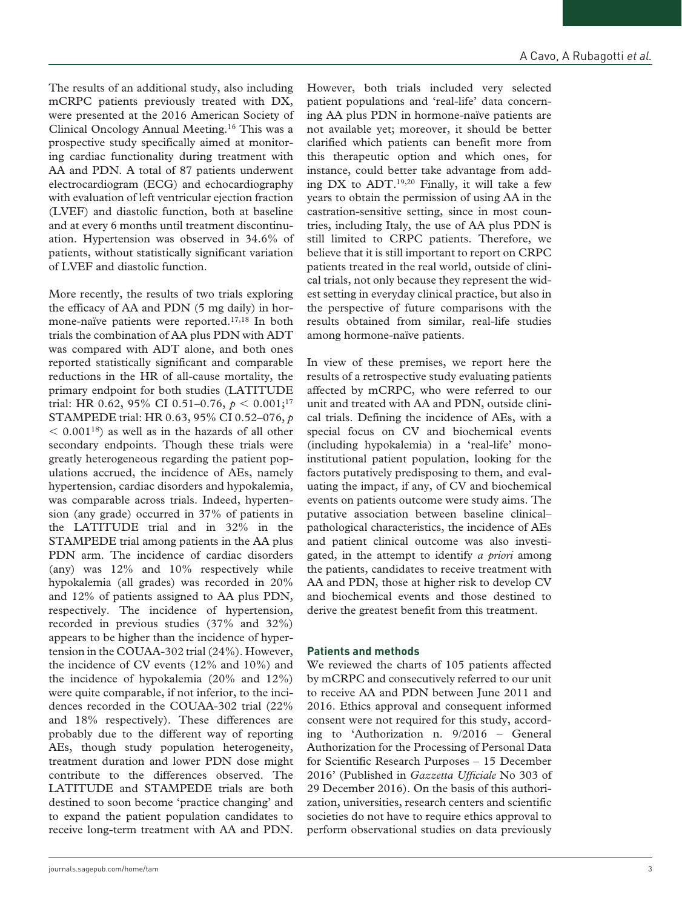The results of an additional study, also including mCRPC patients previously treated with DX, were presented at the 2016 American Society of Clinical Oncology Annual Meeting.16 This was a prospective study specifically aimed at monitoring cardiac functionality during treatment with AA and PDN. A total of 87 patients underwent electrocardiogram (ECG) and echocardiography with evaluation of left ventricular ejection fraction (LVEF) and diastolic function, both at baseline and at every 6 months until treatment discontinuation. Hypertension was observed in 34.6% of patients, without statistically significant variation of LVEF and diastolic function.

More recently, the results of two trials exploring the efficacy of AA and PDN (5 mg daily) in hormone-naïve patients were reported.17,18 In both trials the combination of AA plus PDN with ADT was compared with ADT alone, and both ones reported statistically significant and comparable reductions in the HR of all-cause mortality, the primary endpoint for both studies (LATITUDE trial: HR 0.62, 95% CI 0.51–0.76, *p* < 0.001;17 STAMPEDE trial: HR 0.63, 95% CI 0.52–076, *p*  $< 0.001^{18}$ ) as well as in the hazards of all other secondary endpoints. Though these trials were greatly heterogeneous regarding the patient populations accrued, the incidence of AEs, namely hypertension, cardiac disorders and hypokalemia, was comparable across trials. Indeed, hypertension (any grade) occurred in 37% of patients in the LATITUDE trial and in 32% in the STAMPEDE trial among patients in the AA plus PDN arm. The incidence of cardiac disorders (any) was 12% and 10% respectively while hypokalemia (all grades) was recorded in 20% and 12% of patients assigned to AA plus PDN, respectively. The incidence of hypertension, recorded in previous studies (37% and 32%) appears to be higher than the incidence of hypertension in the COUAA-302 trial (24%). However, the incidence of CV events (12% and 10%) and the incidence of hypokalemia (20% and 12%) were quite comparable, if not inferior, to the incidences recorded in the COUAA-302 trial (22% and 18% respectively). These differences are probably due to the different way of reporting AEs, though study population heterogeneity, treatment duration and lower PDN dose might contribute to the differences observed. The LATITUDE and STAMPEDE trials are both destined to soon become 'practice changing' and to expand the patient population candidates to receive long-term treatment with AA and PDN.

However, both trials included very selected patient populations and 'real-life' data concerning AA plus PDN in hormone-naïve patients are not available yet; moreover, it should be better clarified which patients can benefit more from this therapeutic option and which ones, for instance, could better take advantage from adding  $DX$  to  $ADT$ .<sup>19,20</sup> Finally, it will take a few years to obtain the permission of using AA in the castration-sensitive setting, since in most countries, including Italy, the use of AA plus PDN is still limited to CRPC patients. Therefore, we believe that it is still important to report on CRPC patients treated in the real world, outside of clinical trials, not only because they represent the widest setting in everyday clinical practice, but also in the perspective of future comparisons with the results obtained from similar, real-life studies among hormone-naïve patients.

In view of these premises, we report here the results of a retrospective study evaluating patients affected by mCRPC, who were referred to our unit and treated with AA and PDN, outside clinical trials. Defining the incidence of AEs, with a special focus on CV and biochemical events (including hypokalemia) in a 'real-life' monoinstitutional patient population, looking for the factors putatively predisposing to them, and evaluating the impact, if any, of CV and biochemical events on patients outcome were study aims. The putative association between baseline clinical– pathological characteristics, the incidence of AEs and patient clinical outcome was also investigated, in the attempt to identify *a priori* among the patients, candidates to receive treatment with AA and PDN, those at higher risk to develop CV and biochemical events and those destined to derive the greatest benefit from this treatment.

#### **Patients and methods**

We reviewed the charts of 105 patients affected by mCRPC and consecutively referred to our unit to receive AA and PDN between June 2011 and 2016. Ethics approval and consequent informed consent were not required for this study, according to 'Authorization n. 9/2016 – General Authorization for the Processing of Personal Data for Scientific Research Purposes – 15 December 2016' (Published in *Gazzetta Ufficiale* No 303 of 29 December 2016). On the basis of this authorization, universities, research centers and scientific societies do not have to require ethics approval to perform observational studies on data previously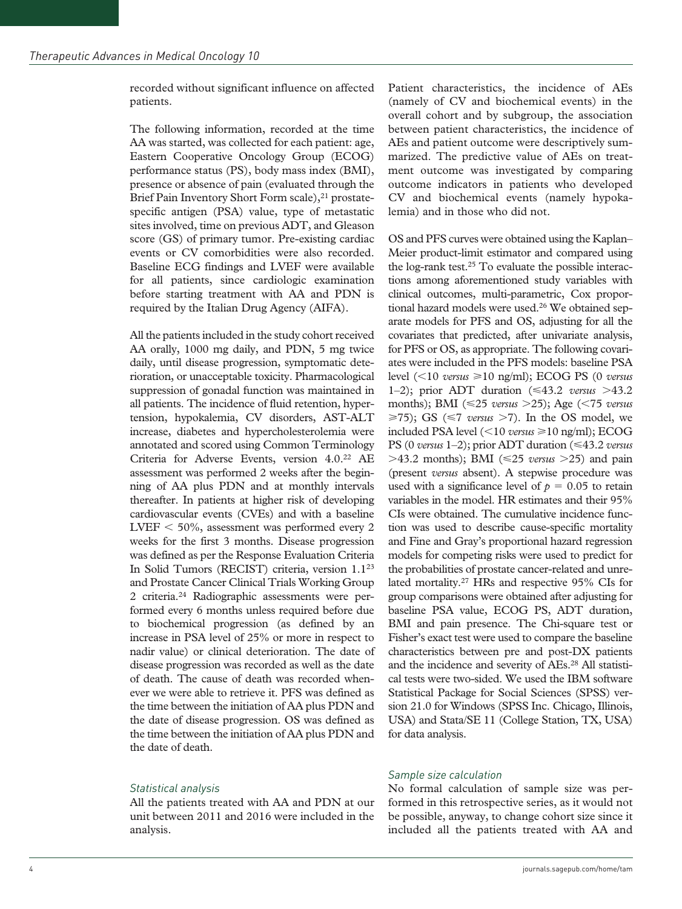recorded without significant influence on affected patients.

The following information, recorded at the time AA was started, was collected for each patient: age, Eastern Cooperative Oncology Group (ECOG) performance status (PS), body mass index (BMI), presence or absence of pain (evaluated through the Brief Pain Inventory Short Form scale),<sup>21</sup> prostatespecific antigen (PSA) value, type of metastatic sites involved, time on previous ADT, and Gleason score (GS) of primary tumor. Pre-existing cardiac events or CV comorbidities were also recorded. Baseline ECG findings and LVEF were available for all patients, since cardiologic examination before starting treatment with AA and PDN is required by the Italian Drug Agency (AIFA).

All the patients included in the study cohort received AA orally, 1000 mg daily, and PDN, 5 mg twice daily, until disease progression, symptomatic deterioration, or unacceptable toxicity. Pharmacological suppression of gonadal function was maintained in all patients. The incidence of fluid retention, hypertension, hypokalemia, CV disorders, AST-ALT increase, diabetes and hypercholesterolemia were annotated and scored using Common Terminology Criteria for Adverse Events, version 4.0.22 AE assessment was performed 2 weeks after the beginning of AA plus PDN and at monthly intervals thereafter. In patients at higher risk of developing cardiovascular events (CVEs) and with a baseline LVEF < 50%, assessment was performed every 2 weeks for the first 3 months. Disease progression was defined as per the Response Evaluation Criteria In Solid Tumors (RECIST) criteria, version 1.123 and Prostate Cancer Clinical Trials Working Group 2 criteria.24 Radiographic assessments were performed every 6 months unless required before due to biochemical progression (as defined by an increase in PSA level of 25% or more in respect to nadir value) or clinical deterioration. The date of disease progression was recorded as well as the date of death. The cause of death was recorded whenever we were able to retrieve it. PFS was defined as the time between the initiation of AA plus PDN and the date of disease progression. OS was defined as the time between the initiation of AA plus PDN and the date of death.

## *Statistical analysis*

All the patients treated with AA and PDN at our unit between 2011 and 2016 were included in the analysis.

Patient characteristics, the incidence of AEs (namely of CV and biochemical events) in the overall cohort and by subgroup, the association between patient characteristics, the incidence of AEs and patient outcome were descriptively summarized. The predictive value of AEs on treatment outcome was investigated by comparing outcome indicators in patients who developed CV and biochemical events (namely hypokalemia) and in those who did not.

OS and PFS curves were obtained using the Kaplan– Meier product-limit estimator and compared using the log-rank test.25 To evaluate the possible interactions among aforementioned study variables with clinical outcomes, multi-parametric, Cox proportional hazard models were used.<sup>26</sup> We obtained separate models for PFS and OS, adjusting for all the covariates that predicted, after univariate analysis, for PFS or OS, as appropriate. The following covariates were included in the PFS models: baseline PSA level (<10 *versus* ⩾10 ng/ml); ECOG PS (0 *versus* 1–2); prior ADT duration (⩽43.2 *versus* >43.2 months); BMI (⩽25 *versus* >25); Age (<75 *versus*  $\geq$ 75); GS ( $\leq$ 7 *versus*  $>$ 7). In the OS model, we included PSA level (<10 *versus* ⩾10 ng/ml); ECOG PS (0 *versus* 1–2); prior ADT duration (⩽43.2 *versus*  $>43.2$  months); BMI ( $\leq 25$  *versus*  $>25$ ) and pain (present *versus* absent). A stepwise procedure was used with a significance level of  $p = 0.05$  to retain variables in the model. HR estimates and their 95% CIs were obtained. The cumulative incidence function was used to describe cause-specific mortality and Fine and Gray's proportional hazard regression models for competing risks were used to predict for the probabilities of prostate cancer-related and unrelated mortality.27 HRs and respective 95% CIs for group comparisons were obtained after adjusting for baseline PSA value, ECOG PS, ADT duration, BMI and pain presence. The Chi-square test or Fisher's exact test were used to compare the baseline characteristics between pre and post-DX patients and the incidence and severity of AEs.28 All statistical tests were two-sided. We used the IBM software Statistical Package for Social Sciences (SPSS) version 21.0 for Windows (SPSS Inc. Chicago, Illinois, USA) and Stata/SE 11 (College Station, TX, USA) for data analysis.

## *Sample size calculation*

No formal calculation of sample size was performed in this retrospective series, as it would not be possible, anyway, to change cohort size since it included all the patients treated with AA and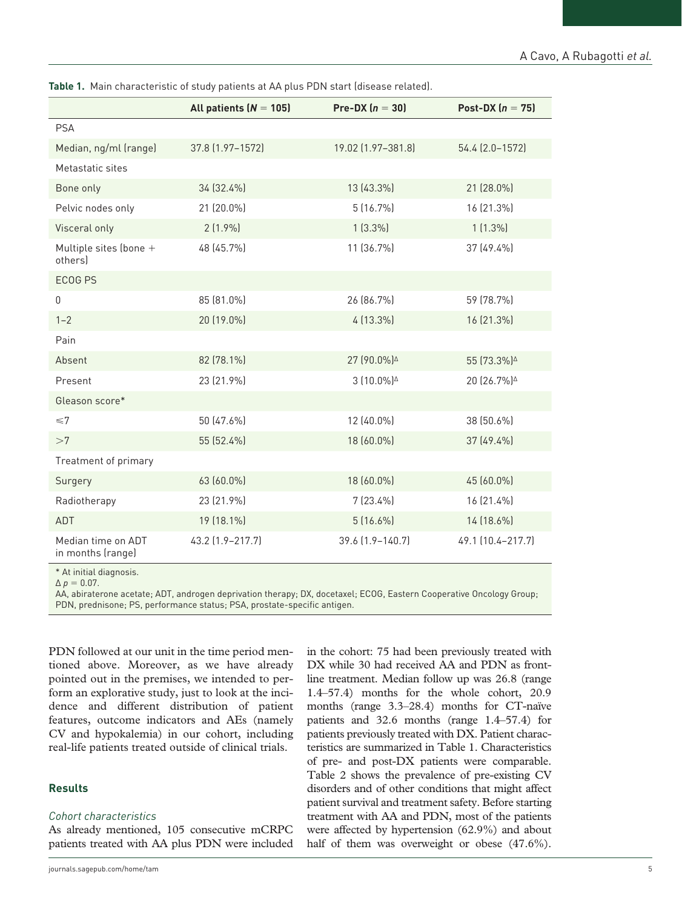|                                         | All patients $(N = 105)$ | Pre-DX $(n = 30)$                             | Post-DX $(n = 75)$                           |
|-----------------------------------------|--------------------------|-----------------------------------------------|----------------------------------------------|
| <b>PSA</b>                              |                          |                                               |                                              |
| Median, ng/ml (range)                   | 37.8 (1.97-1572)         | 19.02 (1.97-381.8)                            | 54.4 (2.0-1572)                              |
| Metastatic sites                        |                          |                                               |                                              |
| Bone only                               | 34 (32.4%)               | 13 (43.3%)                                    | 21 (28.0%)                                   |
| Pelvic nodes only                       | 21 (20.0%)               | 5 (16.7%)                                     | 16 (21.3%)                                   |
| Visceral only                           | $2(1.9\%)$               | $1(3.3\%)$                                    | $1(1.3\%)$                                   |
| Multiple sites (bone +<br>others)       | 48 (45.7%)               | 11 (36.7%)                                    | 37 (49.4%)                                   |
| ECOG PS                                 |                          |                                               |                                              |
| $\boldsymbol{0}$                        | 85 (81.0%)               | 26 (86.7%)                                    | 59 (78.7%)                                   |
| $1 - 2$                                 | 20 (19.0%)               | 4 (13.3%)                                     | 16 (21.3%)                                   |
| Pain                                    |                          |                                               |                                              |
| Absent                                  | 82 (78.1%)               | 27 (90.0%)                                    | 55 (73.3%) $\triangle$                       |
| Present                                 | 23 (21.9%)               | $3(10.0\%)$ <sup><math>\triangle</math></sup> | 20 (26.7%) <sup><math>\triangle</math></sup> |
| Gleason score*                          |                          |                                               |                                              |
| $\leq 7$                                | 50 (47.6%)               | 12 (40.0%)                                    | 38 (50.6%)                                   |
| >7                                      | 55 (52.4%)               | 18 (60.0%)                                    | 37 (49.4%)                                   |
| Treatment of primary                    |                          |                                               |                                              |
| Surgery                                 | 63 (60.0%)               | 18 (60.0%)                                    | 45 (60.0%)                                   |
| Radiotherapy                            | 23 (21.9%)               | $7(23.4\%)$                                   | 16 (21.4%)                                   |
| ADT                                     | 19 (18.1%)               | $5(16.6\%)$                                   | 14 (18.6%)                                   |
| Median time on ADT<br>in months (range) | 43.2 (1.9-217.7)         | 39.6 (1.9-140.7)                              | 49.1 (10.4-217.7)                            |

**Table 1.** Main characteristic of study patients at AA plus PDN start (disease related).

\* At initial diagnosis.

 $\Delta p = 0.07$ .

AA, abiraterone acetate; ADT, androgen deprivation therapy; DX, docetaxel; ECOG, Eastern Cooperative Oncology Group; PDN, prednisone; PS, performance status; PSA, prostate-specific antigen.

PDN followed at our unit in the time period mentioned above. Moreover, as we have already pointed out in the premises, we intended to perform an explorative study, just to look at the incidence and different distribution of patient features, outcome indicators and AEs (namely CV and hypokalemia) in our cohort, including real-life patients treated outside of clinical trials.

## **Results**

## *Cohort characteristics*

As already mentioned, 105 consecutive mCRPC patients treated with AA plus PDN were included

line treatment. Median follow up was 26.8 (range 1.4–57.4) months for the whole cohort, 20.9 months (range 3.3–28.4) months for CT-naïve patients and 32.6 months (range 1.4–57.4) for patients previously treated with DX. Patient characteristics are summarized in Table 1. Characteristics of pre- and post-DX patients were comparable. Table 2 shows the prevalence of pre-existing CV disorders and of other conditions that might affect patient survival and treatment safety. Before starting treatment with AA and PDN, most of the patients were affected by hypertension (62.9%) and about half of them was overweight or obese  $(47.6\%)$ .

in the cohort: 75 had been previously treated with DX while 30 had received AA and PDN as front-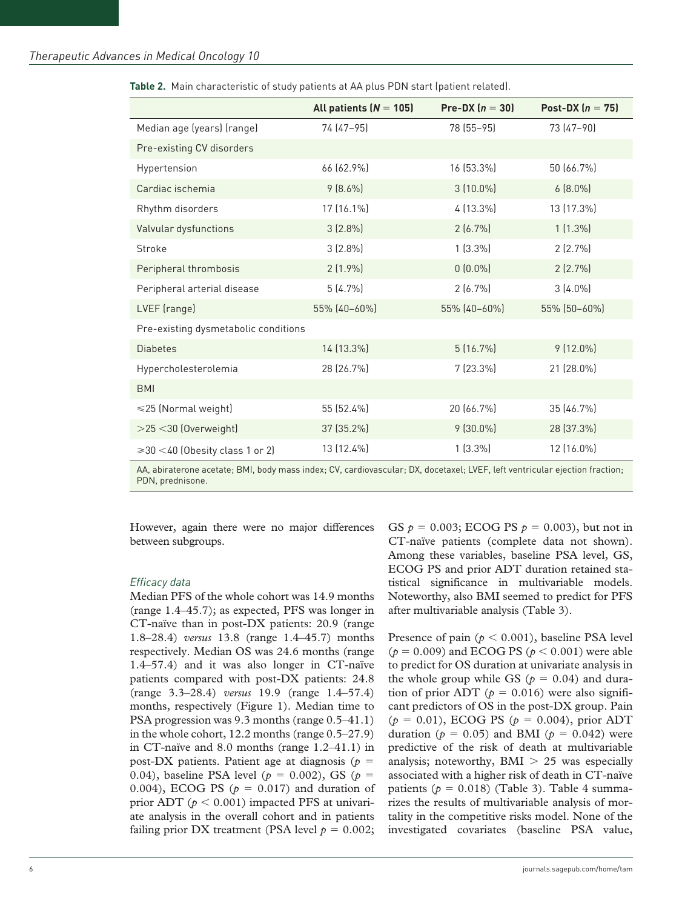|                                            | All patients $(N = 105)$ | Pre-DX $(n = 30)$ | Post-DX $(n = 75)$ |
|--------------------------------------------|--------------------------|-------------------|--------------------|
| Median age (years) (range)                 | 74 (47-95)               | 78 (55-95)        | 73 (47-90)         |
| Pre-existing CV disorders                  |                          |                   |                    |
| Hypertension                               | 66 (62.9%)               | 16 (53.3%)        | 50 (66.7%)         |
| Cardiac ischemia                           | $9(8.6\%)$               | $3(10.0\%)$       | $6(8.0\%)$         |
| Rhythm disorders                           | 17 (16.1%)               | 4 (13.3%)         | 13 (17.3%)         |
| Valvular dysfunctions                      | $3(2.8\%)$               | $2(6.7\%)$        | $1(1.3\%)$         |
| Stroke                                     | $3(2.8\%)$               | $1(3.3\%)$        | 2(2.7%)            |
| Peripheral thrombosis                      | $2(1.9\%)$               | $0(0.0\%)$        | $2(2.7\%)$         |
| Peripheral arterial disease                | $5(4.7\%)$               | $2(6.7\%)$        | $3(4.0\%)$         |
| LVEF (range)                               | 55% (40-60%)             | 55% (40-60%)      | 55% (50-60%)       |
| Pre-existing dysmetabolic conditions       |                          |                   |                    |
| <b>Diabetes</b>                            | 14 (13.3%)               | 5(16.7%)          | $9(12.0\%)$        |
| Hypercholesterolemia                       | 28 (26.7%)               | 7 (23.3%)         | 21 (28.0%)         |
| <b>BMI</b>                                 |                          |                   |                    |
| $\leq$ 25 (Normal weight)                  | 55 (52.4%)               | 20 (66.7%)        | 35 (46.7%)         |
| >25 <30 (Overweight)                       | 37 (35.2%)               | $9(30.0\%)$       | 28 (37.3%)         |
| $\geqslant$ 30 < 40 (Obesity class 1 or 2) | 13 (12.4%)               | $1(3.3\%)$        | 12 (16.0%)         |

**Table 2.** Main characteristic of study patients at AA plus PDN start (patient related).

AA, abiraterone acetate; BMI, body mass index; CV, cardiovascular; DX, docetaxel; LVEF, left ventricular ejection fraction; PDN, prednisone.

However, again there were no major differences between subgroups.

#### *Efficacy data*

Median PFS of the whole cohort was 14.9 months (range 1.4–45.7); as expected, PFS was longer in CT-naïve than in post-DX patients: 20.9 (range 1.8–28.4) *versus* 13.8 (range 1.4–45.7) months respectively. Median OS was 24.6 months (range 1.4–57.4) and it was also longer in CT-naïve patients compared with post-DX patients: 24.8 (range 3.3–28.4) *versus* 19.9 (range 1.4–57.4) months, respectively (Figure 1). Median time to PSA progression was 9.3 months (range 0.5–41.1) in the whole cohort, 12.2 months (range 0.5–27.9) in CT-naïve and 8.0 months (range 1.2–41.1) in post-DX patients. Patient age at diagnosis ( $p =$ 0.04), baseline PSA level ( $p = 0.002$ ), GS ( $p =$ 0.004), ECOG PS  $(p = 0.017)$  and duration of prior ADT ( $p < 0.001$ ) impacted PFS at univariate analysis in the overall cohort and in patients failing prior DX treatment (PSA level  $p = 0.002$ ;

GS  $p = 0.003$ ; ECOG PS  $p = 0.003$ ), but not in CT-naïve patients (complete data not shown). Among these variables, baseline PSA level, GS, ECOG PS and prior ADT duration retained statistical significance in multivariable models. Noteworthy, also BMI seemed to predict for PFS after multivariable analysis (Table 3).

Presence of pain (*p* < 0.001), baseline PSA level (*p* = 0.009) and ECOG PS (*p* < 0.001) were able to predict for OS duration at univariate analysis in the whole group while GS ( $p = 0.04$ ) and duration of prior ADT ( $p = 0.016$ ) were also significant predictors of OS in the post-DX group. Pain  $(p = 0.01)$ , ECOG PS  $(p = 0.004)$ , prior ADT duration ( $p = 0.05$ ) and BMI ( $p = 0.042$ ) were predictive of the risk of death at multivariable analysis; noteworthy,  $BMI > 25$  was especially associated with a higher risk of death in CT-naïve patients ( $p = 0.018$ ) (Table 3). Table 4 summarizes the results of multivariable analysis of mortality in the competitive risks model. None of the investigated covariates (baseline PSA value,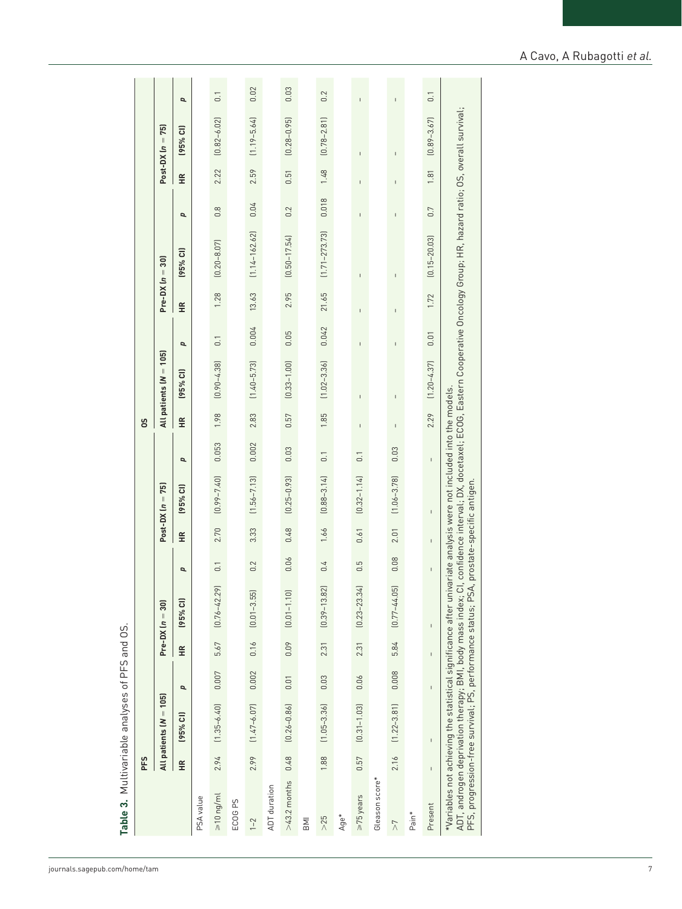|                                                                                                                             | PFS          |                          |              |              |                                                                                                                       |                  |      |                            |                  | SO           |                          |                  |              |                                                                                                                         |                  |      |                    |                  |
|-----------------------------------------------------------------------------------------------------------------------------|--------------|--------------------------|--------------|--------------|-----------------------------------------------------------------------------------------------------------------------|------------------|------|----------------------------|------------------|--------------|--------------------------|------------------|--------------|-------------------------------------------------------------------------------------------------------------------------|------------------|------|--------------------|------------------|
|                                                                                                                             |              | All patients $(N = 105)$ |              |              | $Pre-DX (n = 30)$                                                                                                     |                  |      | $Post-DX (n = 75)$         |                  |              | All patients $(N = 105)$ |                  |              | $Pre-DX (n = 30)$                                                                                                       |                  |      | $Post-DX (n = 75)$ |                  |
|                                                                                                                             | £            | (95% CI)                 | p            | £            | (95% C1)                                                                                                              | p                | ¥    | (95% CI)                   | p                | ¥            | (95% CI)                 | p                | £            | $(95%$ CI)                                                                                                              | p                | £    | (95% Cl)           | p                |
| PSA value                                                                                                                   |              |                          |              |              |                                                                                                                       |                  |      |                            |                  |              |                          |                  |              |                                                                                                                         |                  |      |                    |                  |
| $\geq 10$ ng/ml                                                                                                             | 2.94         | $(1.35 - 6.40)$          | 0.007        | 5.67         | $[0.76 - 42.29]$                                                                                                      | $\overline{0}$ . | 2.70 | $[0.99 - 7.40]$            | 0.053            | 1.98         | $[0.90 - 4.38]$          | $\overline{0}$ . | 1.28         | $[0.20 - 8.07]$                                                                                                         | $0.\overline{8}$ | 2.22 | $[0.82 - 6.02]$    | $\overline{0}$ . |
| ECOG <sub>PS</sub>                                                                                                          |              |                          |              |              |                                                                                                                       |                  |      |                            |                  |              |                          |                  |              |                                                                                                                         |                  |      |                    |                  |
| $1 - 2$                                                                                                                     | 2.99         | $(1.47 - 6.07)$          | 0.002        | 0.16         | $[0.01 - 3.55]$                                                                                                       | 0.2              | 3.33 | $(1.56 - 7.13)$            | 0.002            | 2.83         | $(1.40 - 5.73)$          | 0.004            | 13.63        | $(1.14 - 162.62)$                                                                                                       | 0.04             | 2.59 | $(1.19 - 5.64)$    | 0.02             |
| ADT duration                                                                                                                |              |                          |              |              |                                                                                                                       |                  |      |                            |                  |              |                          |                  |              |                                                                                                                         |                  |      |                    |                  |
| $>43.2$ months                                                                                                              | 0.48         | $[0.26 - 0.86]$          | 0.01         | 0.09         | $[0.01 - 1.10]$                                                                                                       | 0.06             | 0.48 | $[0.25 - 0.93]$            | 0.03             | 0.57         | $[0.33 - 1.00]$          | 0.05             | 2.95         | $(0.50 - 17.54)$                                                                                                        | 0.2              | 0.51 | $[0.28 - 0.95]$    | 0.03             |
| <b>IIN</b>                                                                                                                  |              |                          |              |              |                                                                                                                       |                  |      |                            |                  |              |                          |                  |              |                                                                                                                         |                  |      |                    |                  |
| $>25$                                                                                                                       | 1.88         | $(1.05 - 3.36)$          | 0.03         | 2.31         | $[0.39 - 13.82]$                                                                                                      | 0.4              | 1.66 | $[0.88 - 3.14]$            | $\overline{0}$ . | 1.85         | $(1.02 - 3.36)$          | 0.042            | 21.65        | $(1.71 - 273.73)$                                                                                                       | 0.018            | 1.48 | $[0.78 - 2.81]$    | 0.2              |
| Age*                                                                                                                        |              |                          |              |              |                                                                                                                       |                  |      |                            |                  |              |                          |                  |              |                                                                                                                         |                  |      |                    |                  |
| >75 years                                                                                                                   | 0.57         | $[0.31 - 1.03]$          | 0.06         | 2.31         | $(0.23 - 23.34)$                                                                                                      | 0.5              | 0.61 | $[0.32 - 1.14]$            | $\overline{0}$ . | $\mathbf{I}$ | Ţ                        | $\mathbf{I}$     | Ţ            | Ţ                                                                                                                       | Ţ                | Ţ    | Ţ                  | Ï                |
| Gleason score*                                                                                                              |              |                          |              |              |                                                                                                                       |                  |      |                            |                  |              |                          |                  |              |                                                                                                                         |                  |      |                    |                  |
| $\overline{\lambda}$                                                                                                        | 2.16         | $(1.22 - 3.81)$          | 0.008        | 5.84         | $[0.77 - 44.05]$                                                                                                      | 0.08             | 2.01 | $(1.06 - 3.78)$            | 0.03             | $\mathsf{I}$ | $\mathsf{I}$             | $\mathsf{I}$     | $\mathsf{I}$ | $\mathsf I$                                                                                                             | L                | L    | I                  | $\mathbf{I}$     |
| Pain <sup>*</sup>                                                                                                           |              |                          |              |              |                                                                                                                       |                  |      |                            |                  |              |                          |                  |              |                                                                                                                         |                  |      |                    |                  |
| Present                                                                                                                     | $\mathbf{I}$ | $\mathbf{I}$             | $\mathbf{I}$ | $\mathbf{I}$ | $\mathbf{I}$                                                                                                          | Ï                | Ï    | $\overline{1}$             | $\mathbf{I}$     | 2.29         | $(1.20 - 4.37)$          | 0.01             | 1.72         | $(0.15 - 20.03)$                                                                                                        | 0.7              | 1.81 | $[0.89 - 3.67]$    | $\overline{0}$ . |
| PFS, progression-free survival; PS, performance status; PSA,<br>ADT, androgen deprivation therapy; BMI, body mass index; CI |              |                          |              |              | $*$ Variables not achieving the statistical significance after univariate analysis were not included into the models. |                  |      | prostate-specific antigen. |                  |              |                          |                  |              | , confidence interval; DX, docetaxel; ECOG, Eastern Cooperative Oncology Group; HR, hazard ratio; OS, overall survival; |                  |      |                    |                  |

**Table 3.** Multivariable analyses of PFS and OS.

Table 3. Multivariable analyses of PFS and OS.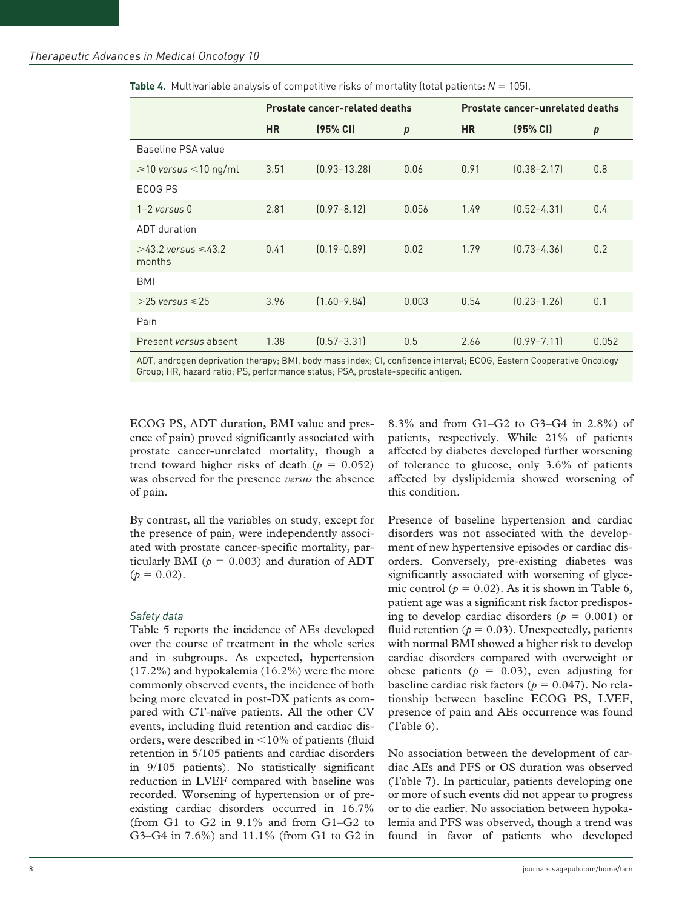|                                                                                                                      |           | <b>Prostate cancer-related deaths</b> |                  | <b>Prostate cancer-unrelated deaths</b> |                 |                  |  |
|----------------------------------------------------------------------------------------------------------------------|-----------|---------------------------------------|------------------|-----------------------------------------|-----------------|------------------|--|
|                                                                                                                      | <b>HR</b> | (95% CI)                              | $\boldsymbol{p}$ | <b>HR</b>                               | (95% CI)        | $\boldsymbol{p}$ |  |
| Baseline PSA value                                                                                                   |           |                                       |                  |                                         |                 |                  |  |
| $\geq 10$ versus $\leq 10$ ng/ml                                                                                     | 3.51      | $[0.93 - 13.28]$                      | 0.06             | 0.91                                    | $[0.38 - 2.17]$ | 0.8              |  |
| ECOG PS                                                                                                              |           |                                       |                  |                                         |                 |                  |  |
| $1-2$ versus $0$                                                                                                     | 2.81      | $[0.97 - 8.12]$                       | 0.056            | 1.49                                    | $[0.52 - 4.31]$ | 0.4              |  |
| ADT duration                                                                                                         |           |                                       |                  |                                         |                 |                  |  |
| $>43$ ? versus $\leq 43$ ?<br>months                                                                                 | 0.41      | $[0.19 - 0.89]$                       | 0.02             | 1.79                                    | $[0.73 - 4.36]$ | 0.2              |  |
| BMI                                                                                                                  |           |                                       |                  |                                         |                 |                  |  |
| $>$ 25 versus $\leq$ 25                                                                                              | 3.96      | $[1.60 - 9.84]$                       | 0.003            | 0.54                                    | $[0.23 - 1.26]$ | 0.1              |  |
| Pain                                                                                                                 |           |                                       |                  |                                         |                 |                  |  |
| Present versus absent                                                                                                | 1.38      | $[0.57 - 3.31]$                       | 0.5              | 2.66                                    | $[0.99 - 7.11]$ | 0.052            |  |
| ADT, androgen deprivation therapy; BMI, body mass index; CI, confidence interval; ECOG, Eastern Cooperative Oncology |           |                                       |                  |                                         |                 |                  |  |

**Table 4.** Multivariable analysis of competitive risks of mortality (total patients: *N* = 105).

Group; HR, hazard ratio; PS, performance status; PSA, prostate-specific antigen.

ECOG PS, ADT duration, BMI value and presence of pain) proved significantly associated with prostate cancer-unrelated mortality, though a trend toward higher risks of death ( $p = 0.052$ ) was observed for the presence *versus* the absence of pain.

By contrast, all the variables on study, except for the presence of pain, were independently associated with prostate cancer-specific mortality, particularly BMI ( $p = 0.003$ ) and duration of ADT  $(p = 0.02)$ .

#### *Safety data*

Table 5 reports the incidence of AEs developed over the course of treatment in the whole series and in subgroups. As expected, hypertension (17.2%) and hypokalemia (16.2%) were the more commonly observed events, the incidence of both being more elevated in post-DX patients as compared with CT-naïve patients. All the other CV events, including fluid retention and cardiac disorders, were described in <10% of patients (fluid retention in 5/105 patients and cardiac disorders in 9/105 patients). No statistically significant reduction in LVEF compared with baseline was recorded. Worsening of hypertension or of preexisting cardiac disorders occurred in 16.7% (from G1 to G2 in  $9.1\%$  and from G1–G2 to G3–G4 in 7.6%) and 11.1% (from G1 to G2 in 8.3% and from G1–G2 to G3–G4 in 2.8%) of patients, respectively. While 21% of patients affected by diabetes developed further worsening of tolerance to glucose, only 3.6% of patients affected by dyslipidemia showed worsening of this condition.

Presence of baseline hypertension and cardiac disorders was not associated with the development of new hypertensive episodes or cardiac disorders. Conversely, pre-existing diabetes was significantly associated with worsening of glycemic control ( $p = 0.02$ ). As it is shown in Table 6, patient age was a significant risk factor predisposing to develop cardiac disorders ( $p = 0.001$ ) or fluid retention ( $p = 0.03$ ). Unexpectedly, patients with normal BMI showed a higher risk to develop cardiac disorders compared with overweight or obese patients ( $p = 0.03$ ), even adjusting for baseline cardiac risk factors ( $p = 0.047$ ). No relationship between baseline ECOG PS, LVEF, presence of pain and AEs occurrence was found (Table 6).

No association between the development of cardiac AEs and PFS or OS duration was observed (Table 7). In particular, patients developing one or more of such events did not appear to progress or to die earlier. No association between hypokalemia and PFS was observed, though a trend was found in favor of patients who developed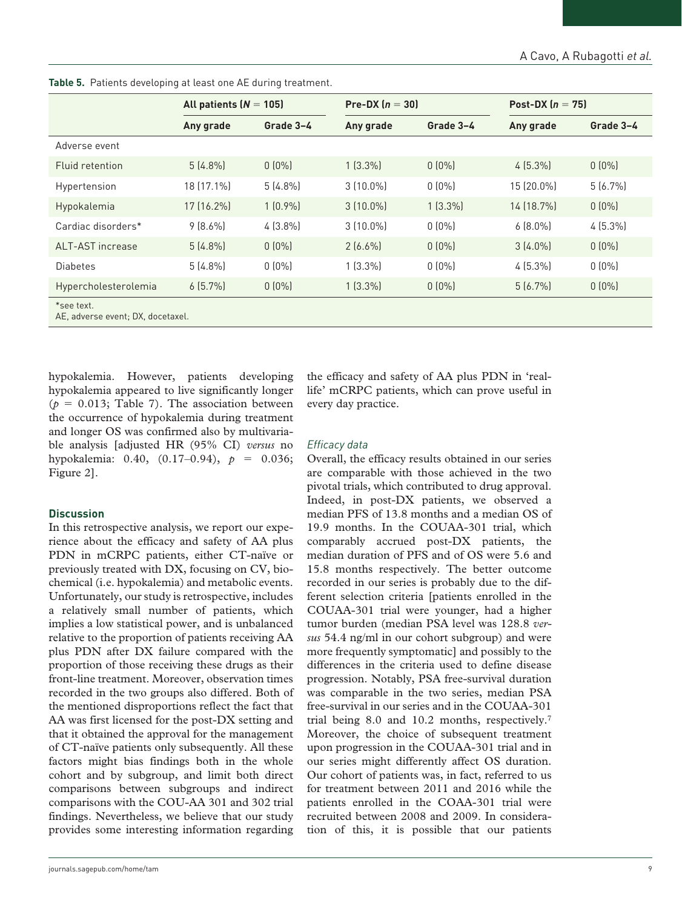|                                                 | All patients $(N = 105)$ |            |             | Pre-DX $(n = 30)$ |            | Post-DX $(n = 75)$ |
|-------------------------------------------------|--------------------------|------------|-------------|-------------------|------------|--------------------|
|                                                 | Any grade                | Grade 3-4  | Any grade   | Grade 3-4         | Any grade  | Grade 3-4          |
| Adverse event                                   |                          |            |             |                   |            |                    |
| Fluid retention                                 | $5(4.8\%)$               | $0(0\%)$   | $1(3.3\%)$  | $0(0\%)$          | $4(5.3\%)$ | $0(0\%)$           |
| Hypertension                                    | 18 (17.1%)               | $5(4.8\%)$ | $3(10.0\%)$ | $0(0\%)$          | 15 (20.0%) | $5(6.7\%)$         |
| Hypokalemia                                     | 17 (16.2%)               | $1(0.9\%)$ | $3(10.0\%)$ | $1(3.3\%)$        | 14 (18.7%) | $0(0\%)$           |
| Cardiac disorders*                              | $9(8.6\%)$               | $4(3.8\%)$ | $3(10.0\%)$ | $0(0\%)$          | $6(8.0\%)$ | $4(5.3\%)$         |
| ALT-AST increase                                | $5(4.8\%)$               | $0(0\%)$   | $2(6.6\%)$  | $0(0\%)$          | $3(4.0\%)$ | $0(0\%)$           |
| <b>Diabetes</b>                                 | $5(4.8\%)$               | $0(0\%)$   | $1(3.3\%)$  | $0(0\%)$          | $4(5.3\%)$ | $0(0\%)$           |
| Hypercholesterolemia                            | $6(5.7\%)$               | $0(0\%)$   | $1(3.3\%)$  | $0(0\%)$          | $5(6.7\%)$ | $0(0\%)$           |
| *see text.<br>AE, adverse event; DX, docetaxel. |                          |            |             |                   |            |                    |

**Table 5.** Patients developing at least one AE during treatment.

hypokalemia. However, patients developing hypokalemia appeared to live significantly longer  $(p = 0.013;$  Table 7). The association between the occurrence of hypokalemia during treatment and longer OS was confirmed also by multivariable analysis [adjusted HR (95% CI) *versus* no hypokalemia:  $0.40$ ,  $(0.17-0.94)$ ,  $p = 0.036$ ; Figure 2].

#### **Discussion**

In this retrospective analysis, we report our experience about the efficacy and safety of AA plus PDN in mCRPC patients, either CT-naïve or previously treated with DX, focusing on CV, biochemical (i.e. hypokalemia) and metabolic events. Unfortunately, our study is retrospective, includes a relatively small number of patients, which implies a low statistical power, and is unbalanced relative to the proportion of patients receiving AA plus PDN after DX failure compared with the proportion of those receiving these drugs as their front-line treatment. Moreover, observation times recorded in the two groups also differed. Both of the mentioned disproportions reflect the fact that AA was first licensed for the post-DX setting and that it obtained the approval for the management of CT-naïve patients only subsequently. All these factors might bias findings both in the whole cohort and by subgroup, and limit both direct comparisons between subgroups and indirect comparisons with the COU-AA 301 and 302 trial findings. Nevertheless, we believe that our study provides some interesting information regarding the efficacy and safety of AA plus PDN in 'reallife' mCRPC patients, which can prove useful in every day practice.

#### *Efficacy data*

Overall, the efficacy results obtained in our series are comparable with those achieved in the two pivotal trials, which contributed to drug approval. Indeed, in post-DX patients, we observed a median PFS of 13.8 months and a median OS of 19.9 months. In the COUAA-301 trial, which comparably accrued post-DX patients, the median duration of PFS and of OS were 5.6 and 15.8 months respectively. The better outcome recorded in our series is probably due to the different selection criteria [patients enrolled in the COUAA-301 trial were younger, had a higher tumor burden (median PSA level was 128.8 *versus* 54.4 ng/ml in our cohort subgroup) and were more frequently symptomatic] and possibly to the differences in the criteria used to define disease progression. Notably, PSA free-survival duration was comparable in the two series, median PSA free-survival in our series and in the COUAA-301 trial being 8.0 and 10.2 months, respectively.7 Moreover, the choice of subsequent treatment upon progression in the COUAA-301 trial and in our series might differently affect OS duration. Our cohort of patients was, in fact, referred to us for treatment between 2011 and 2016 while the patients enrolled in the COAA-301 trial were recruited between 2008 and 2009. In consideration of this, it is possible that our patients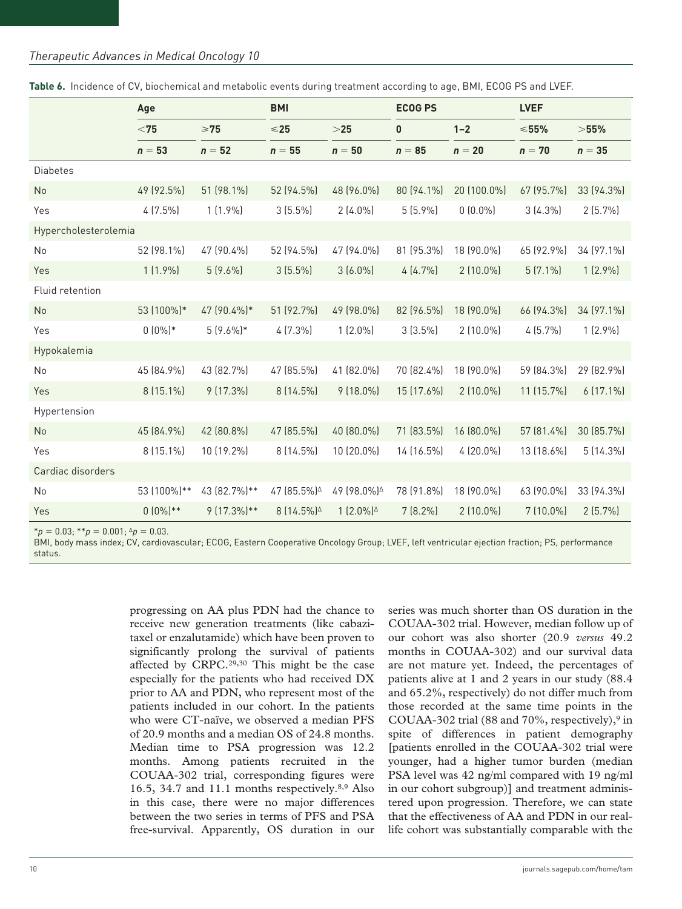#### *Therapeutic Advances in Medical Oncology 10*

|                      | Age         |              | <b>ECOG PS</b><br><b>BMI</b>                |                     |            |             | <b>LVEF</b> |             |  |
|----------------------|-------------|--------------|---------------------------------------------|---------------------|------------|-------------|-------------|-------------|--|
|                      | $<$ 75      | $\geq 75$    | $<$ 25                                      | >25                 | 0          | $1 - 2$     | $55%$       | $>$ 55%     |  |
|                      | $n = 53$    | $n = 52$     | $n = 55$                                    | $n = 50$            | $n = 85$   | $n = 20$    | $n = 70$    | $n = 35$    |  |
| <b>Diabetes</b>      |             |              |                                             |                     |            |             |             |             |  |
| No                   | 49 (92.5%)  | 51 (98.1%)   | 52 (94.5%)                                  | 48 (96.0%)          | 80 (94.1%) | 20 (100.0%) | 67 (95.7%)  | 33 (94.3%)  |  |
| Yes                  | $4(7.5\%)$  | $1(1.9\%)$   | $3(5.5\%)$                                  | $2(4.0\%)$          | 5(5.9%)    | $0(0.0\%)$  | $3(4.3\%)$  | $2(5.7\%)$  |  |
| Hypercholesterolemia |             |              |                                             |                     |            |             |             |             |  |
| No                   | 52 (98.1%)  | 47 (90.4%)   | 52 (94.5%)                                  | 47 (94.0%)          | 81 (95.3%) | 18 (90.0%)  | 65 (92.9%)  | 34 (97.1%)  |  |
| Yes                  | $1(1.9\%)$  | $5(9.6\%)$   | $3(5.5\%)$                                  | $3(6.0\%)$          | 4(4.7%)    | $2(10.0\%)$ | $5(7.1\%)$  | $1(2.9\%)$  |  |
| Fluid retention      |             |              |                                             |                     |            |             |             |             |  |
| No                   | 53 (100%)*  | 47 (90.4%)*  | 51 (92.7%)                                  | 49 (98.0%)          | 82 (96.5%) | 18 (90.0%)  | 66 (94.3%)  | 34 (97.1%)  |  |
| Yes                  | $0(0\%)*$   | $5(9.6\%)*$  | $4(7.3\%)$                                  | $1(2.0\%)$          | $3(3.5\%)$ | $2(10.0\%)$ | $4(5.7\%)$  | $1(2.9\%)$  |  |
| Hypokalemia          |             |              |                                             |                     |            |             |             |             |  |
| No                   | 45 (84.9%)  | 43 (82.7%)   | 47 (85.5%)                                  | 41 (82.0%)          | 70 (82.4%) | 18 (90.0%)  | 59 (84.3%)  | 29 (82.9%)  |  |
| Yes                  | 8 (15.1%)   | 9 (17.3%)    | 8 (14.5%)                                   | $9(18.0\%)$         | 15 (17.6%) | 2 (10.0%)   | 11 (15.7%)  | $6(17.1\%)$ |  |
| Hypertension         |             |              |                                             |                     |            |             |             |             |  |
| No                   | 45 (84.9%)  | 42 (80.8%)   | 47 (85.5%)                                  | 40 (80.0%)          | 71 (83.5%) | 16 (80.0%)  | 57 (81.4%)  | 30 (85.7%)  |  |
| Yes                  | 8 (15.1%)   | 10 (19.2%)   | 8 (14.5%)                                   | 10 (20.0%)          | 14 (16.5%) | 4 (20.0%)   | 13 (18.6%)  | 5 (14.3%)   |  |
| Cardiac disorders    |             |              |                                             |                     |            |             |             |             |  |
| No                   | 53 (100%)** | 43 (82.7%)** | 47 (85.5%)                                  | 49 (98.0%)          | 78 (91.8%) | 18 (90.0%)  | 63 (90.0%)  | 33 (94.3%)  |  |
| Yes                  | $0(0\%)**$  | 9 (17.3%)**  | 8 (14.5%) <sup><math>\triangle</math></sup> | $1(2.0\%)^{\Delta}$ | $7(8.2\%)$ | 2 (10.0%)   | 7 (10.0%)   | $2(5.7\%)$  |  |

|  |  |  | Table 6. Incidence of CV, biochemical and metabolic events during treatment according to age, BMI, ECOG PS and LVEF. |
|--|--|--|----------------------------------------------------------------------------------------------------------------------|
|  |  |  |                                                                                                                      |

 $*_p = 0.03$ ;  $*_p = 0.001$ ;  $\Delta_p = 0.03$ .

BMI, body mass index; CV, cardiovascular; ECOG, Eastern Cooperative Oncology Group; LVEF, left ventricular ejection fraction; PS, performance status.

> progressing on AA plus PDN had the chance to receive new generation treatments (like cabazitaxel or enzalutamide) which have been proven to significantly prolong the survival of patients affected by CRPC.29,30 This might be the case especially for the patients who had received DX prior to AA and PDN, who represent most of the patients included in our cohort. In the patients who were CT-naïve, we observed a median PFS of 20.9 months and a median OS of 24.8 months. Median time to PSA progression was 12.2 months. Among patients recruited in the COUAA-302 trial, corresponding figures were 16.5, 34.7 and 11.1 months respectively. $8,9$  Also in this case, there were no major differences between the two series in terms of PFS and PSA free-survival. Apparently, OS duration in our

series was much shorter than OS duration in the COUAA-302 trial. However, median follow up of our cohort was also shorter (20.9 *versus* 49.2 months in COUAA-302) and our survival data are not mature yet. Indeed, the percentages of patients alive at 1 and 2 years in our study (88.4 and 65.2%, respectively) do not differ much from those recorded at the same time points in the COUAA-302 trial (88 and 70%, respectively), $9$  in spite of differences in patient demography [patients enrolled in the COUAA-302 trial were younger, had a higher tumor burden (median PSA level was 42 ng/ml compared with 19 ng/ml in our cohort subgroup)] and treatment administered upon progression. Therefore, we can state that the effectiveness of AA and PDN in our reallife cohort was substantially comparable with the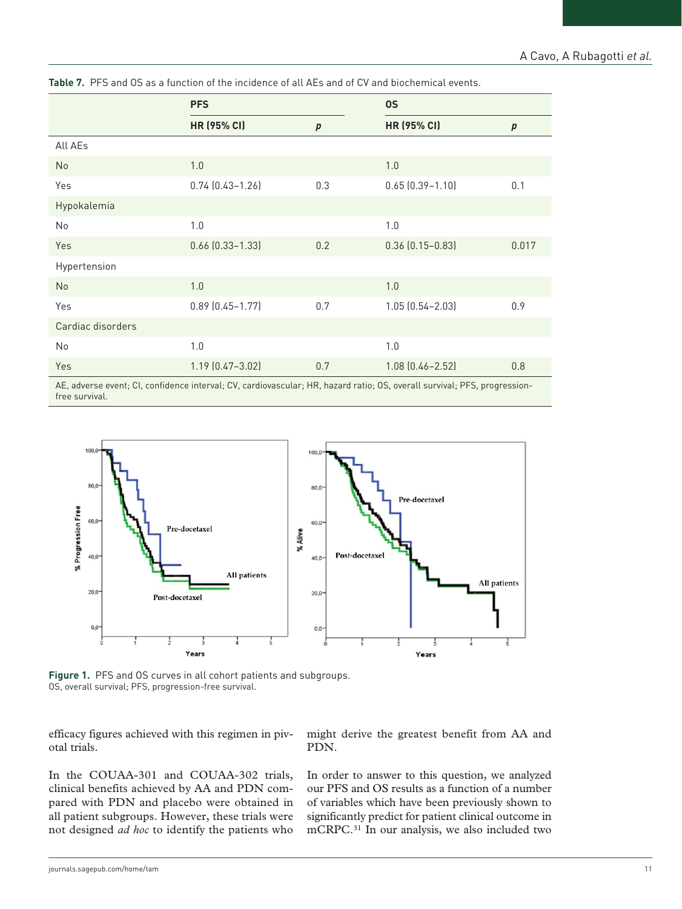|                   | <b>PFS</b>             |                  | <b>OS</b>                                                                                                          |                  |  |
|-------------------|------------------------|------------------|--------------------------------------------------------------------------------------------------------------------|------------------|--|
|                   | HR (95% CI)            | $\boldsymbol{p}$ | <b>HR (95% CI)</b>                                                                                                 | $\boldsymbol{p}$ |  |
| All AEs           |                        |                  |                                                                                                                    |                  |  |
| No                | 1.0                    |                  | 1.0                                                                                                                |                  |  |
| Yes               | $0.74$ $(0.43 - 1.26)$ | 0.3              | $0.65$ $(0.39 - 1.10)$                                                                                             | 0.1              |  |
| Hypokalemia       |                        |                  |                                                                                                                    |                  |  |
| No                | 1.0                    |                  | 1.0                                                                                                                |                  |  |
| Yes               | $0.66$ $(0.33 - 1.33)$ | 0.2              | $0.36$ $(0.15 - 0.83)$                                                                                             | 0.017            |  |
| Hypertension      |                        |                  |                                                                                                                    |                  |  |
| No                | 1.0                    |                  | 1.0                                                                                                                |                  |  |
| Yes               | $0.89$ $(0.45 - 1.77)$ | 0.7              | 1.05 (0.54-2.03)                                                                                                   | 0.9              |  |
| Cardiac disorders |                        |                  |                                                                                                                    |                  |  |
| No                | 1.0                    |                  | 1.0                                                                                                                |                  |  |
| Yes               | $1.19$ $(0.47 - 3.02)$ | 0.7              | $1.08$ $(0.46 - 2.52)$                                                                                             | 0.8              |  |
|                   |                        |                  | AF adverse event: CL confidence interval: CV cardiovascular: HP bazard ratio: OS evenal curvival: PFS progression- |                  |  |

**Table 7.** PFS and OS as a function of the incidence of all AEs and of CV and biochemical events.

AE, adverse event; CI, confidence interval; CV, cardiovascular; HR, hazard ratio; OS, overall survival; PFS, progressionfree survival.



**Figure 1.** PFS and OS curves in all cohort patients and subgroups. OS, overall survival; PFS, progression-free survival.

efficacy figures achieved with this regimen in pivotal trials.

In the COUAA-301 and COUAA-302 trials, clinical benefits achieved by AA and PDN compared with PDN and placebo were obtained in all patient subgroups. However, these trials were not designed *ad hoc* to identify the patients who might derive the greatest benefit from AA and PDN.

In order to answer to this question, we analyzed our PFS and OS results as a function of a number of variables which have been previously shown to significantly predict for patient clinical outcome in mCRPC.31 In our analysis, we also included two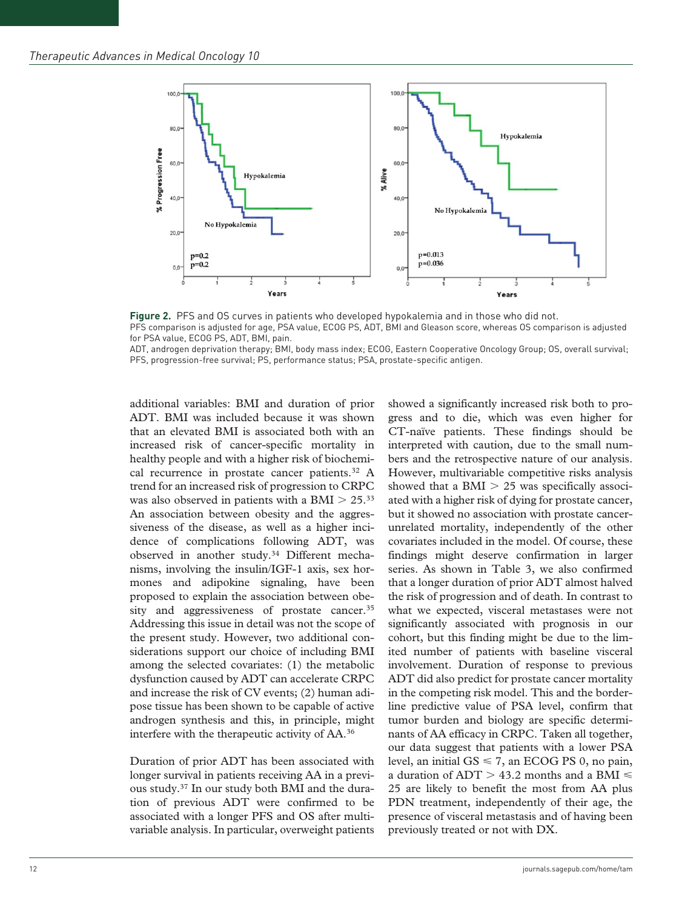

**Figure 2.** PFS and OS curves in patients who developed hypokalemia and in those who did not. PFS comparison is adjusted for age, PSA value, ECOG PS, ADT, BMI and Gleason score, whereas OS comparison is adjusted for PSA value, ECOG PS, ADT, BMI, pain.

ADT, androgen deprivation therapy; BMI, body mass index; ECOG, Eastern Cooperative Oncology Group; OS, overall survival; PFS, progression-free survival; PS, performance status; PSA, prostate-specific antigen.

additional variables: BMI and duration of prior ADT. BMI was included because it was shown that an elevated BMI is associated both with an increased risk of cancer-specific mortality in healthy people and with a higher risk of biochemical recurrence in prostate cancer patients.<sup>32</sup> A trend for an increased risk of progression to CRPC was also observed in patients with a BMI  $> 25.^{33}$ An association between obesity and the aggressiveness of the disease, as well as a higher incidence of complications following ADT, was observed in another study.34 Different mechanisms, involving the insulin/IGF-1 axis, sex hormones and adipokine signaling, have been proposed to explain the association between obesity and aggressiveness of prostate cancer.<sup>35</sup> Addressing this issue in detail was not the scope of the present study. However, two additional considerations support our choice of including BMI among the selected covariates: (1) the metabolic dysfunction caused by ADT can accelerate CRPC and increase the risk of CV events; (2) human adipose tissue has been shown to be capable of active androgen synthesis and this, in principle, might interfere with the therapeutic activity of AA.36

Duration of prior ADT has been associated with longer survival in patients receiving AA in a previous study.37 In our study both BMI and the duration of previous ADT were confirmed to be associated with a longer PFS and OS after multivariable analysis. In particular, overweight patients

showed a significantly increased risk both to progress and to die, which was even higher for CT-naïve patients. These findings should be interpreted with caution, due to the small numbers and the retrospective nature of our analysis. However, multivariable competitive risks analysis showed that a BMI  $> 25$  was specifically associated with a higher risk of dying for prostate cancer, but it showed no association with prostate cancerunrelated mortality, independently of the other covariates included in the model. Of course, these findings might deserve confirmation in larger series. As shown in Table 3, we also confirmed that a longer duration of prior ADT almost halved the risk of progression and of death. In contrast to what we expected, visceral metastases were not significantly associated with prognosis in our cohort, but this finding might be due to the limited number of patients with baseline visceral involvement. Duration of response to previous ADT did also predict for prostate cancer mortality in the competing risk model. This and the borderline predictive value of PSA level, confirm that tumor burden and biology are specific determinants of AA efficacy in CRPC. Taken all together, our data suggest that patients with a lower PSA level, an initial  $GS \le 7$ , an ECOG PS 0, no pain, a duration of ADT  $>$  43.2 months and a BMI  $\leq$ 25 are likely to benefit the most from AA plus PDN treatment, independently of their age, the presence of visceral metastasis and of having been previously treated or not with DX.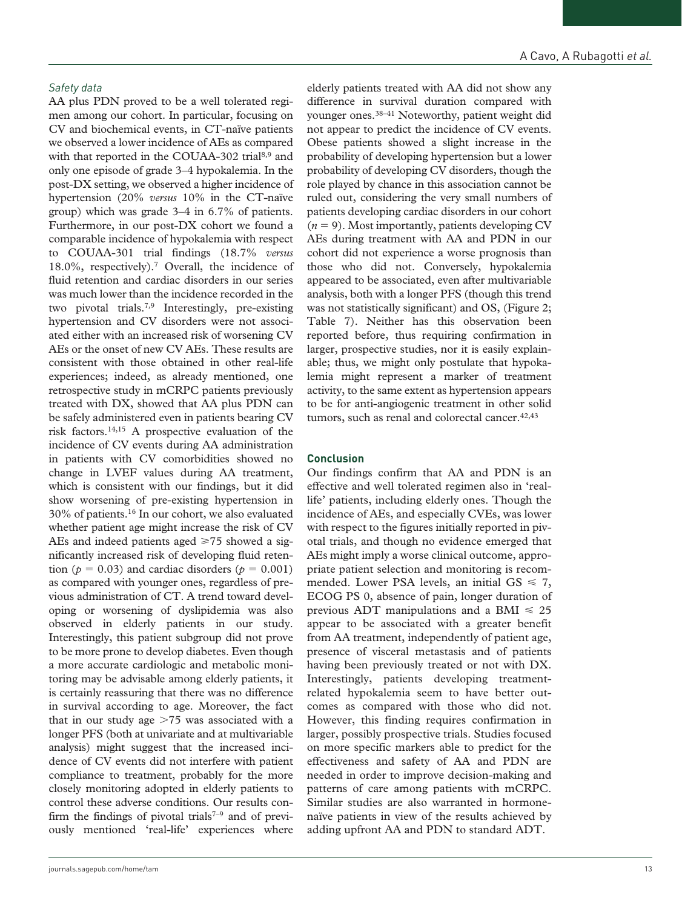#### *Safety data*

AA plus PDN proved to be a well tolerated regimen among our cohort. In particular, focusing on CV and biochemical events, in CT-naïve patients we observed a lower incidence of AEs as compared with that reported in the COUAA-302 trial<sup>8,9</sup> and only one episode of grade 3–4 hypokalemia. In the post-DX setting, we observed a higher incidence of hypertension (20% *versus* 10% in the CT-naïve group) which was grade 3–4 in 6.7% of patients. Furthermore, in our post-DX cohort we found a comparable incidence of hypokalemia with respect to COUAA-301 trial findings (18.7% *versus* 18.0%, respectively).7 Overall, the incidence of fluid retention and cardiac disorders in our series was much lower than the incidence recorded in the two pivotal trials.7,9 Interestingly, pre-existing hypertension and CV disorders were not associated either with an increased risk of worsening CV AEs or the onset of new CV AEs. These results are consistent with those obtained in other real-life experiences; indeed, as already mentioned, one retrospective study in mCRPC patients previously treated with DX, showed that AA plus PDN can be safely administered even in patients bearing CV risk factors.14,15 A prospective evaluation of the incidence of CV events during AA administration in patients with CV comorbidities showed no change in LVEF values during AA treatment, which is consistent with our findings, but it did show worsening of pre-existing hypertension in 30% of patients.16 In our cohort, we also evaluated whether patient age might increase the risk of CV AEs and indeed patients aged  $\geq 75$  showed a significantly increased risk of developing fluid retention ( $p = 0.03$ ) and cardiac disorders ( $p = 0.001$ ) as compared with younger ones, regardless of previous administration of CT. A trend toward developing or worsening of dyslipidemia was also observed in elderly patients in our study. Interestingly, this patient subgroup did not prove to be more prone to develop diabetes. Even though a more accurate cardiologic and metabolic monitoring may be advisable among elderly patients, it is certainly reassuring that there was no difference in survival according to age. Moreover, the fact that in our study age  $>75$  was associated with a longer PFS (both at univariate and at multivariable analysis) might suggest that the increased incidence of CV events did not interfere with patient compliance to treatment, probably for the more closely monitoring adopted in elderly patients to control these adverse conditions. Our results confirm the findings of pivotal trials<sup> $7-9$ </sup> and of previously mentioned 'real-life' experiences where

elderly patients treated with AA did not show any difference in survival duration compared with younger ones.38–41 Noteworthy, patient weight did not appear to predict the incidence of CV events. Obese patients showed a slight increase in the probability of developing hypertension but a lower probability of developing CV disorders, though the role played by chance in this association cannot be ruled out, considering the very small numbers of patients developing cardiac disorders in our cohort  $(n = 9)$ . Most importantly, patients developing CV AEs during treatment with AA and PDN in our cohort did not experience a worse prognosis than those who did not. Conversely, hypokalemia appeared to be associated, even after multivariable analysis, both with a longer PFS (though this trend was not statistically significant) and OS, (Figure 2; Table 7). Neither has this observation been reported before, thus requiring confirmation in larger, prospective studies, nor it is easily explainable; thus, we might only postulate that hypokalemia might represent a marker of treatment activity, to the same extent as hypertension appears to be for anti-angiogenic treatment in other solid tumors, such as renal and colorectal cancer.<sup>42,43</sup>

#### **Conclusion**

Our findings confirm that AA and PDN is an effective and well tolerated regimen also in 'reallife' patients, including elderly ones. Though the incidence of AEs, and especially CVEs, was lower with respect to the figures initially reported in pivotal trials, and though no evidence emerged that AEs might imply a worse clinical outcome, appropriate patient selection and monitoring is recommended. Lower PSA levels, an initial  $GS \le 7$ , ECOG PS 0, absence of pain, longer duration of previous ADT manipulations and a BMI  $\leq 25$ appear to be associated with a greater benefit from AA treatment, independently of patient age, presence of visceral metastasis and of patients having been previously treated or not with DX. Interestingly, patients developing treatmentrelated hypokalemia seem to have better outcomes as compared with those who did not. However, this finding requires confirmation in larger, possibly prospective trials. Studies focused on more specific markers able to predict for the effectiveness and safety of AA and PDN are needed in order to improve decision-making and patterns of care among patients with mCRPC. Similar studies are also warranted in hormonenaïve patients in view of the results achieved by adding upfront AA and PDN to standard ADT.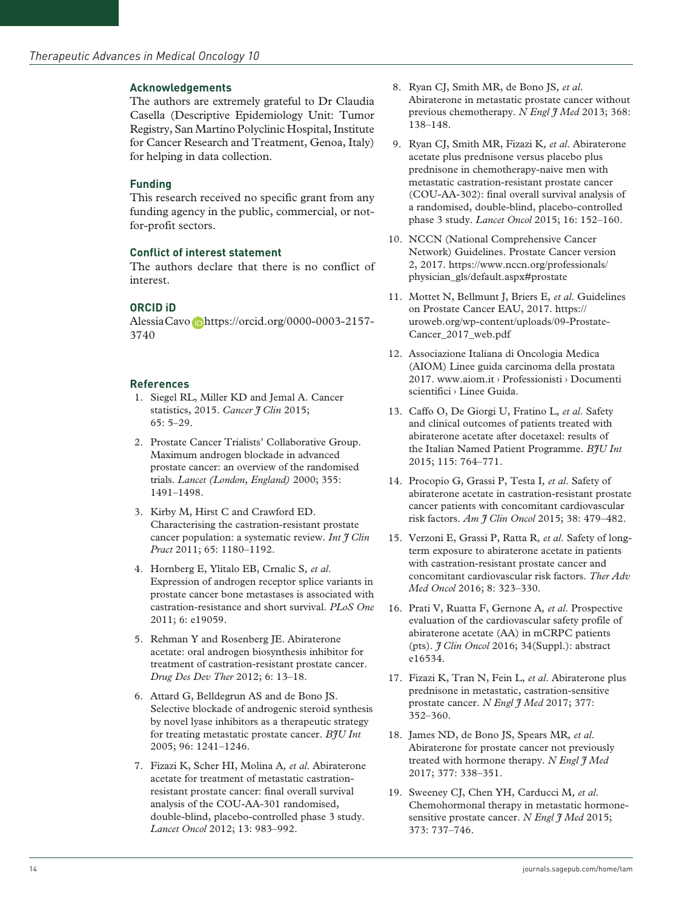#### **Acknowledgements**

The authors are extremely grateful to Dr Claudia Casella (Descriptive Epidemiology Unit: Tumor Registry, San Martino Polyclinic Hospital, Institute for Cancer Research and Treatment, Genoa, Italy) for helping in data collection.

#### **Funding**

This research received no specific grant from any funding agency in the public, commercial, or notfor-profit sectors.

#### **Conflict of interest statement**

The authors declare that there is no conflict of interest.

### **ORCID iD**

Alessia Cavo Dhttps://orcid.org/0000-0003-2157-[3740](https://orcid.org/0000-0003-2157-
3740)

#### **References**

- 1. Siegel RL, Miller KD and Jemal A. Cancer statistics, 2015. *Cancer J Clin* 2015; 65: 5–29.
- 2. Prostate Cancer Trialists' Collaborative Group. Maximum androgen blockade in advanced prostate cancer: an overview of the randomised trials. *Lancet (London, England)* 2000; 355: 1491–1498.
- 3. Kirby M, Hirst C and Crawford ED. Characterising the castration-resistant prostate cancer population: a systematic review. *Int J Clin Pract* 2011; 65: 1180–1192.
- 4. Hornberg E, Ylitalo EB, Crnalic S*, et al*. Expression of androgen receptor splice variants in prostate cancer bone metastases is associated with castration-resistance and short survival. *PLoS One* 2011; 6: e19059.
- 5. Rehman Y and Rosenberg JE. Abiraterone acetate: oral androgen biosynthesis inhibitor for treatment of castration-resistant prostate cancer. *Drug Des Dev Ther* 2012; 6: 13–18.
- 6. Attard G, Belldegrun AS and de Bono JS. Selective blockade of androgenic steroid synthesis by novel lyase inhibitors as a therapeutic strategy for treating metastatic prostate cancer. *BJU Int* 2005; 96: 1241–1246.
- 7. Fizazi K, Scher HI, Molina A*, et al*. Abiraterone acetate for treatment of metastatic castrationresistant prostate cancer: final overall survival analysis of the COU-AA-301 randomised, double-blind, placebo-controlled phase 3 study. *Lancet Oncol* 2012; 13: 983–992.
- 8. Ryan CJ, Smith MR, de Bono JS*, et al*. Abiraterone in metastatic prostate cancer without previous chemotherapy. *N Engl I Med* 2013; 368: 138–148.
- 9. Ryan CJ, Smith MR, Fizazi K*, et al*. Abiraterone acetate plus prednisone versus placebo plus prednisone in chemotherapy-naive men with metastatic castration-resistant prostate cancer (COU-AA-302): final overall survival analysis of a randomised, double-blind, placebo-controlled phase 3 study. *Lancet Oncol* 2015; 16: 152–160.
- 10. NCCN (National Comprehensive Cancer Network) Guidelines. Prostate Cancer version 2, 2017. [https://www.nccn.org/professionals/](https://www.nccn.org/professionals/physician_gls/default.aspx#prostate) [physician\\_gls/default.aspx#prostate](https://www.nccn.org/professionals/physician_gls/default.aspx#prostate)
- 11. Mottet N, Bellmunt J, Briers E*, et al*. Guidelines on Prostate Cancer EAU, 2017. [https://](https://uroweb.org/wp-content/uploads/09-Prostate-Cancer_2017_web.pdf) [uroweb.org/wp-content/uploads/09-Prostate-](https://uroweb.org/wp-content/uploads/09-Prostate-Cancer_2017_web.pdf)[Cancer\\_2017\\_web.pdf](https://uroweb.org/wp-content/uploads/09-Prostate-Cancer_2017_web.pdf)
- 12. Associazione Italiana di Oncologia Medica (AIOM) Linee guida carcinoma della prostata 2017. www.aiom.it › Professionisti › Documenti scientifici › Linee Guida.
- 13. Caffo O, De Giorgi U, Fratino L*, et al*. Safety and clinical outcomes of patients treated with abiraterone acetate after docetaxel: results of the Italian Named Patient Programme. *BJU Int* 2015; 115: 764–771.
- 14. Procopio G, Grassi P, Testa I*, et al*. Safety of abiraterone acetate in castration-resistant prostate cancer patients with concomitant cardiovascular risk factors. *Am J Clin Oncol* 2015; 38: 479–482.
- 15. Verzoni E, Grassi P, Ratta R*, et al*. Safety of longterm exposure to abiraterone acetate in patients with castration-resistant prostate cancer and concomitant cardiovascular risk factors. *Ther Adv Med Oncol* 2016; 8: 323–330.
- 16. Prati V, Ruatta F, Gernone A*, et al*. Prospective evaluation of the cardiovascular safety profile of abiraterone acetate (AA) in mCRPC patients (pts). *J Clin Oncol* 2016; 34(Suppl.): abstract e16534.
- 17. Fizazi K, Tran N, Fein L*, et al*. Abiraterone plus prednisone in metastatic, castration-sensitive prostate cancer. *N Engl J Med* 2017; 377: 352–360.
- 18. James ND, de Bono JS, Spears MR*, et al*. Abiraterone for prostate cancer not previously treated with hormone therapy. *N Engl J Med* 2017; 377: 338–351.
- 19. Sweeney CJ, Chen YH, Carducci M*, et al*. Chemohormonal therapy in metastatic hormonesensitive prostate cancer. *N Engl J Med* 2015; 373: 737–746.